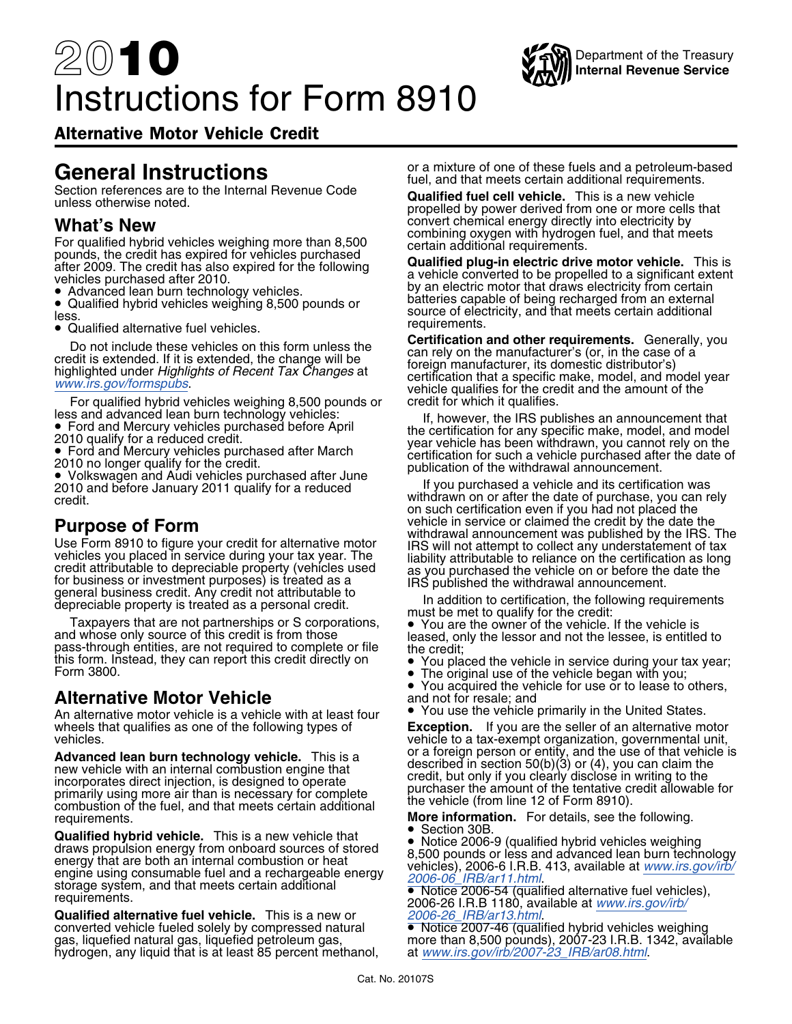# 20**10** Instructions for Form 8910



Alternative Motor Vehicle Credit

For qualified hybrid vehicles weighing more than 8,500<br>
pounds, the credit has expired for vehicles purchased<br>
after 2009. The credit has also expired for the following<br>
vehicles purchased after 2010.<br>
• Advanced lean burn

• Qualified alternative fuel vehicles.

For qualified hybrid vehicles weighing 8,500 pounds or credit for which it qualifies.<br>Iess and advanced lean burn technology vehicles: In tho we reading the IRS put less and advanced lean burn technology vehicles:<br>● Ford and Mercury vehicles purchased before April entities the certification for any specific make, model, and model

**Purpose of Form**<br>
Use Form 8910 to figure your credit for alternative motor<br>
Use The Use Form 8910 to figure your credit for alternative motor<br>
URS will not attempt to collect any understatement of tax<br>
credit attributabl

and whose only source of this credit is from those leased, only the lessor and not the lessee, is entitled to<br>pass-through entities, are not required to complete or file the credit;<br>this form. Instead, they can report this

### **Alternative Motor Vehicle** and not for resale; and

An alternative motor vehicle is a vehicle with at least four wheels that qualifies as one of the following types of **Exception.** If you are the seller of an alternative motor<br>vehicle to a tax-exempt organization, governmental unit,

requirements.<br> **More information.** For details, see the following.<br> **Constitutional intervals of the following.**<br> **Constitutional intervals of the following.** 

**Qualified hybrid vehicle.** This is a new vehicle that • Notin 30B. 9 (qualified hybrid vehicles weighing draws propulsion energy from onboard sources of stored a 500 pounds or less and advanced leap burn techn The distribution of the term of the term of the term of the term of the term of the term of the term of the term of the energy that are both an internal combustion or heat<br>engine using consumable fuel and a rechargeable e

nequirements.<br>**Qualified alternative fuel vehicle.** This is a new or *[2006-26\\_IRB/ar13.html](www.irs.gov/irb/2006-26_IRB/ar13.html)*.<br>converted vehicle fueled solely by compressed natural ● Notice 2007-46 (qualified hybrid vehicles weighing converted vehicle fueled solely by compressed natural gas, liquefied natural gas, liqualitied petroleum gas, hydrogen, any liquid that is at least 85 percent methanol,

General Instructions<br>
fuel, and that meets certain additional requirements.

Section references are to the Internal Revenue Code<br>unless otherwise noted.<br>propelled by power derived from one or more cells that **What's New**<br> **What's New** convert chemical energy directly into electricity by<br> **Convert convert chemical energy directly into electricity by**<br> **Convert chemical energy directly into electricity by** 

• Advanced learn burn technology vehicles.<br>• Qualified hybrid vehicles weighing 8,500 pounds or an external external external external external • Qualified hybrid vehicles weighing 8,500 pounds or Gualified hybrid vehicles weighing 8,500 pounds or source of electricity, and that meets certain additional less.<br>Less. **In the substantial districts** of the vehicles weight of the source of electricity, and that meets cer

Do not include these vehicles on this form unless the<br>credit is extended. If it is extended, the change will be<br>highlighted under Highlights of Recent Tax Changes at<br>[www.irs.gov/formspubs](http://www.irs.gov/formspubs/).<br>www.irs.gov/formspubs.

■ Ford and Mercury vehicles purchased before April the certification for any specific make, model, and model 2010 qualify for a reduced credit.<br>
■ Pord and Mercury vehicles purchased after March ● • ertification for such • Ford and Mercury vehicles purchased after March<br>2010 no longer qualify for the credit.<br>• Volkswagen and Audi vehicles purchased after June<br>• Volkswagen and Audi vehicles purchased after June<br>• Hotel purchased a unkil and

2010 and before January 2011 qualify for a reduced if you purchased a vehicle and its certification was<br>Credit end if you purchased a vehicle and its certification was<br>credit eredit.<br>
withdrawn on or after the date of purchase, you can rely credit.<br>
The vehicle in service or claimed the credit by the date the

•You acquired the vehicle for use or to lease to others,

• You use the vehicle primarily in the United States.

vehicle to a tax-exempt organization, governmental unit, **Advanced lean burn technology vehicle.** This is a<br>new vehicle with an internal combustion engine that<br>incorporates direct injection, is designed to operate<br>primarily using more air than is necessary for complete<br>combustio

•

more than 8,500 pounds), 2007-23 I.R.B. 1342, available at www.irs.gov/irb/2007-23\_IRB/ar08.html.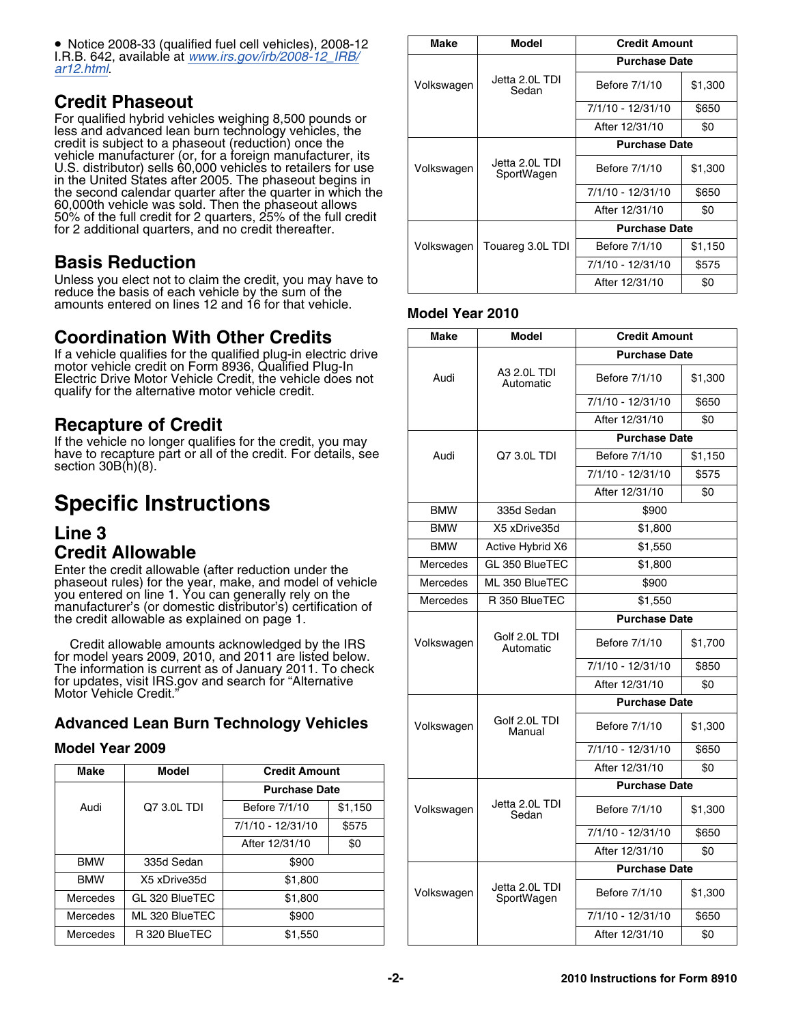$\bullet$  Notice 2008-33 (qualified fuel cell vehicles), 2008-12 | Make | Model | Credit Amount I.R.B. 642, available at *[www.irs.gov/irb/2008-12\\_IRB/](www.irs.gov/irb/2008-12_IRB/ar12.html)[ar12.html](www.irs.gov/irb/2008-12_IRB/ar12.html)*.

**Credit Phaseout**<br>For qualified hybrid vehicles weighing 8,500 pounds or less and advanced lean burn technology vehicles, the credit is subject to a phaseout (reduction) once the **Purchase Date** vehicle manufacturer (or, for a foreign manufacturer, its<br>U.S. distributor) sells 60,000 vehicles to retailers for use solutionally velta 2.0L TDI sefore 7/1/10 \$1,300<br>in the United States after 2005. The phaseout begins i the second calendar quarter after the quarter in which the 60,000th vehicle was sold. Then the phaseout allows 60,000th vehicle was sold. Then the phaseout allows After 12/31/10 \$0 50% of the full credit for 2 quarters, 25% of the full credit for 2 additional quarters, and no credit thereafter.

### **Basis Reduction**

Unless you elect not to claim the credit, you may have to reduce the basis of each vehicle by the sum of the amounts entered on lines 12 and 16 for that vehicle. **Model Year 2010**

### **Coordination With Other Credits**

### **Specific Instructions**

# **Credit Allowable**

### **Advanced Lean Burn Technology Vehicles**

### **Model Year 2009**

| <b>Make</b>     | <b>Model</b>   | <b>Credit Amount</b> |         |            |                         | After 12/31/10       | \$0     |  |
|-----------------|----------------|----------------------|---------|------------|-------------------------|----------------------|---------|--|
|                 |                | <b>Purchase Date</b> |         |            |                         | <b>Purchase Date</b> |         |  |
| Audi            | Q7 3.0L TDI    | Before 7/1/10        | \$1,150 | Volkswagen | Jetta 2.0L TDI<br>Sedan | Before 7/1/10        | \$1,300 |  |
|                 |                | 7/1/10 - 12/31/10    | \$575   |            |                         | 7/1/10 - 12/31/10    | \$650   |  |
|                 |                | After 12/31/10       | \$0     |            |                         |                      |         |  |
|                 |                |                      |         |            |                         | After 12/31/10       | \$0     |  |
| <b>BMW</b>      | 335d Sedan     | \$900                |         |            |                         | <b>Purchase Date</b> |         |  |
| <b>BMW</b>      | X5 xDrive35d   | \$1,800              |         |            |                         |                      |         |  |
|                 |                |                      |         | Volkswagen | Jetta 2.0L TDI          | Before 7/1/10        | \$1,300 |  |
| Mercedes        | GL 320 BlueTEC | \$1,800              |         |            | SportWagen              |                      |         |  |
| <b>Mercedes</b> | ML 320 BlueTEC | \$900                |         |            |                         | 7/1/10 - 12/31/10    | \$650   |  |
| Mercedes        | R 320 BlueTEC  | \$1,550              |         |            |                         | After 12/31/10       | \$0     |  |

| Make       | Model                        | <b>Credit Amount</b> |         |  |
|------------|------------------------------|----------------------|---------|--|
|            |                              | <b>Purchase Date</b> |         |  |
| Volkswagen | Jetta 2.0L TDI<br>Sedan      | Before 7/1/10        | \$1,300 |  |
|            |                              | 7/1/10 - 12/31/10    | \$650   |  |
|            |                              | After 12/31/10       | \$0     |  |
|            |                              | <b>Purchase Date</b> |         |  |
| Volkswagen | Jetta 2.0L TDI<br>SportWagen | Before 7/1/10        | \$1,300 |  |
|            |                              | 7/1/10 - 12/31/10    | \$650   |  |
|            |                              | After 12/31/10       | \$0     |  |
|            |                              | <b>Purchase Date</b> |         |  |
| Volkswagen | Touareg 3.0L TDI             | Before 7/1/10        | \$1,150 |  |
|            |                              | 7/1/10 - 12/31/10    | \$575   |  |
|            |                              | After 12/31/10       | \$0     |  |

| Coordination With Other Credits |                                                   |                                                                                                                   |         | <b>Make</b> | <b>Model</b>                 | <b>Credit Amount</b> |         |
|---------------------------------|---------------------------------------------------|-------------------------------------------------------------------------------------------------------------------|---------|-------------|------------------------------|----------------------|---------|
|                                 |                                                   | If a vehicle qualifies for the qualified plug-in electric drive                                                   |         |             |                              | <b>Purchase Date</b> |         |
|                                 | qualify for the alternative motor vehicle credit. | motor vehicle credit on Form 8936, Qualified Plug-In<br>Electric Drive Motor Vehicle Credit, the vehicle does not |         | Audi        | A3 2.0L TDI<br>Automatic     | Before 7/1/10        | \$1,300 |
|                                 |                                                   |                                                                                                                   |         |             |                              | 7/1/10 - 12/31/10    | \$650   |
|                                 | Recapture of Credit                               |                                                                                                                   |         |             |                              | After 12/31/10       | \$0     |
|                                 |                                                   | If the vehicle no longer qualifies for the credit, you may                                                        |         |             |                              | <b>Purchase Date</b> |         |
|                                 |                                                   | have to recapture part or all of the credit. For details, see                                                     |         | Audi        | Q7 3.0L TDI                  | Before 7/1/10        | \$1,150 |
| section 30B(h)(8).              |                                                   |                                                                                                                   |         |             | 7/1/10 - 12/31/10            | \$575                |         |
|                                 |                                                   |                                                                                                                   |         |             |                              | After 12/31/10       | \$0     |
|                                 | <b>Specific Instructions</b>                      |                                                                                                                   |         | <b>BMW</b>  | 335d Sedan                   | \$900                |         |
| <b>Line 3</b>                   |                                                   |                                                                                                                   |         | <b>BMW</b>  | X5 xDrive35d                 | \$1,800              |         |
|                                 | <b>Credit Allowable</b>                           |                                                                                                                   |         | <b>BMW</b>  | Active Hybrid X6             | \$1.550              |         |
|                                 |                                                   | Enter the credit allowable (after reduction under the                                                             |         | Mercedes    | GL 350 BlueTEC               | \$1,800              |         |
|                                 |                                                   | phaseout rules) for the year, make, and model of vehicle<br>you entered on line 1. You can generally rely on the  |         | Mercedes    | ML 350 BlueTEC               | \$900                |         |
|                                 |                                                   | manufacturer's (or domestic distributor's) certification of                                                       |         | Mercedes    | R 350 BlueTEC                | \$1.550              |         |
|                                 | the credit allowable as explained on page 1.      |                                                                                                                   |         |             | Golf 2.0L TDI<br>Automatic   | <b>Purchase Date</b> |         |
|                                 |                                                   | Credit allowable amounts acknowledged by the IRS<br>for model years 2009, 2010, and 2011 are listed below.        |         | Volkswagen  |                              | Before 7/1/10        | \$1,700 |
|                                 |                                                   | The information is current as of January 2011. To check                                                           |         |             |                              | 7/1/10 - 12/31/10    | \$850   |
| Motor Vehicle Credit.'          |                                                   | for updates, visit IRS.gov and search for "Alternative                                                            |         |             |                              | After 12/31/10       | \$0     |
|                                 |                                                   |                                                                                                                   |         |             |                              | <b>Purchase Date</b> |         |
|                                 |                                                   | <b>Advanced Lean Burn Technology Vehicles</b>                                                                     |         | Volkswagen  | Golf 2.0L TDI<br>Manual      | Before 7/1/10        | \$1,300 |
| Model Year 2009                 |                                                   |                                                                                                                   |         |             |                              | 7/1/10 - 12/31/10    | \$650   |
| <b>Make</b>                     | <b>Model</b>                                      | <b>Credit Amount</b>                                                                                              |         |             |                              | After 12/31/10       | \$0     |
|                                 |                                                   | <b>Purchase Date</b>                                                                                              |         |             |                              | <b>Purchase Date</b> |         |
| Audi                            | Q7 3.0L TDI                                       | Before 7/1/10                                                                                                     | \$1,150 | Volkswagen  | Jetta 2.0L TDI<br>Sedan      | Before 7/1/10        | \$1,300 |
|                                 |                                                   | 7/1/10 - 12/31/10                                                                                                 | \$575   |             |                              | 7/1/10 - 12/31/10    | \$650   |
|                                 |                                                   | After 12/31/10                                                                                                    | \$0     |             |                              | After 12/31/10       | \$0     |
| <b>BMW</b>                      | 335d Sedan                                        | \$900                                                                                                             |         |             |                              | <b>Purchase Date</b> |         |
| <b>BMW</b><br>Mercedes          | X5 xDrive35d<br>GL 320 BlueTEC                    | \$1,800<br>\$1,800                                                                                                |         | Volkswagen  | Jetta 2.0L TDI<br>SportWagen | Before 7/1/10        | \$1,300 |
| Mercedes                        | ML 320 BlueTEC                                    | \$900                                                                                                             |         |             |                              | 7/1/10 - 12/31/10    | \$650   |
| Mercedes                        | R 320 BlueTEC                                     | \$1,550                                                                                                           |         |             |                              | After 12/31/10       | \$0     |
|                                 |                                                   |                                                                                                                   |         |             |                              |                      |         |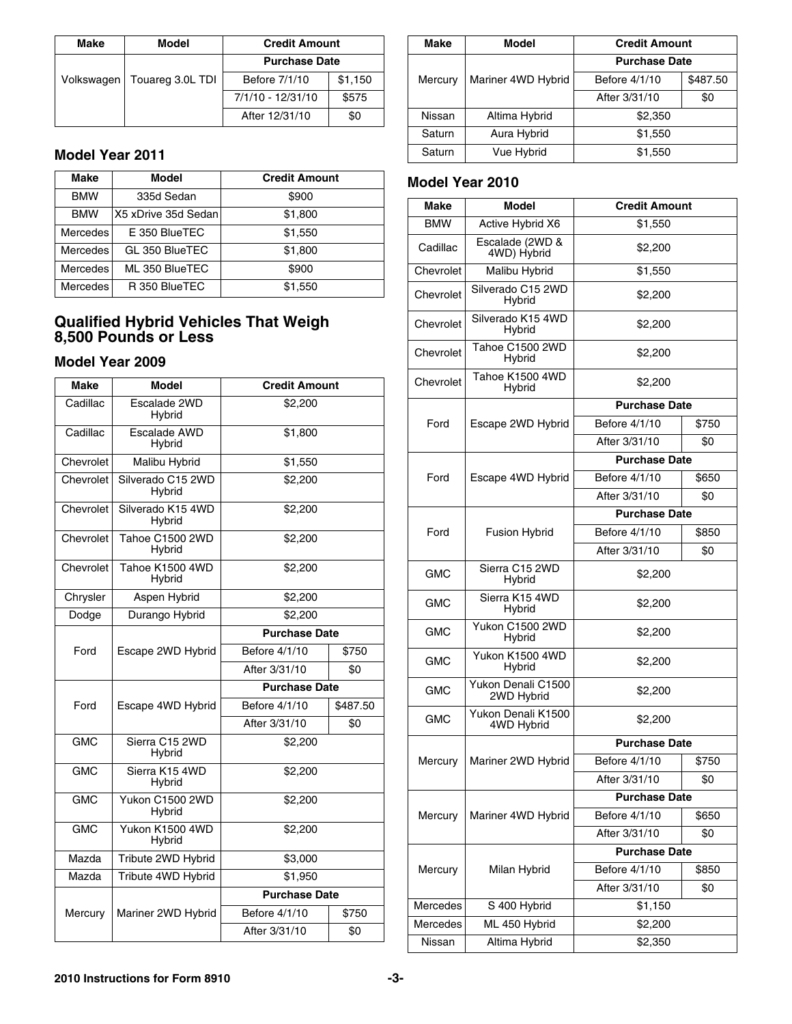| Make       | Model            | <b>Credit Amount</b> |         |  | <b>Make</b> | Model              | <b>Credit Amount</b> |          |
|------------|------------------|----------------------|---------|--|-------------|--------------------|----------------------|----------|
|            |                  | <b>Purchase Date</b> |         |  |             |                    | <b>Purchase Date</b> |          |
| Volkswagen | Touareg 3.0L TDI | Before 7/1/10        | \$1,150 |  | Mercury     | Mariner 4WD Hybrid | Before 4/1/10        | \$487.50 |
|            |                  | 7/1/10 - 12/31/10    | \$575   |  |             |                    | After 3/31/10        | \$0      |
|            |                  | After 12/31/10       | \$0     |  | Nissan      | Altima Hybrid      | \$2,350              |          |

### **Model Year 2011**

| Make       | Model               | <b>Credit Amount</b> | <b>Model Year 2010</b> |                                |                   |
|------------|---------------------|----------------------|------------------------|--------------------------------|-------------------|
| <b>BMW</b> | 335d Sedan          | \$900                | Make                   | Model                          | <b>Credit Ame</b> |
| <b>BMW</b> | X5 xDrive 35d Sedan | \$1,800              |                        |                                |                   |
| Mercedes   | E 350 BlueTEC       | \$1,550              | <b>BMW</b>             | Active Hybrid X6               | \$1,550           |
| Mercedes   | GL 350 BlueTEC      | \$1,800              | Cadillac               | Escalade (2WD &<br>4WD) Hybrid | \$2,200           |
| Mercedes   | ML 350 BlueTEC      | \$900                | Chevrolet              | Malibu Hybrid                  | \$1,550           |
| Mercedes   | R 350 BlueTEC       | \$1,550              | Chavvalat              | Silverado C15 2WD              | no oo             |

# **Qualified Hybrid Vehicles That Weigh 8,500 Pounds or Less That Weigh Right & Represent 8,500 Pounds or Less** Tahoe Chevrolet *8*,500 Pounds or Less

| <b>Make</b> | <b>Model</b>                | <b>Credit Amount</b> |          | Chevrolet  | Tahoe K1500 4WD<br>Hybrid        | \$2,200              |       |  |
|-------------|-----------------------------|----------------------|----------|------------|----------------------------------|----------------------|-------|--|
| Cadillac    | Escalade 2WD<br>Hybrid      | \$2,200              |          |            |                                  | <b>Purchase Date</b> |       |  |
| Cadillac    | Escalade AWD                | \$1,800              |          | Ford       | Escape 2WD Hybrid                | Before 4/1/10        | \$750 |  |
|             | Hybrid                      |                      |          |            |                                  | After 3/31/10        | \$0   |  |
| Chevrolet   | Malibu Hybrid               | \$1,550              |          |            |                                  | <b>Purchase Date</b> |       |  |
| Chevrolet   | Silverado C15 2WD           | \$2,200              |          | Ford       | Escape 4WD Hybrid                | Before 4/1/10        | \$650 |  |
|             | Hybrid                      |                      |          |            |                                  | After 3/31/10        | \$0   |  |
| Chevrolet   | Silverado K15 4WD<br>Hybrid | \$2,200              |          |            |                                  | <b>Purchase Date</b> |       |  |
| Chevrolet   | Tahoe C1500 2WD             | \$2,200              |          | Ford       | <b>Fusion Hybrid</b>             | Before 4/1/10        | \$850 |  |
|             | Hybrid                      |                      |          |            |                                  | After 3/31/10        | \$0   |  |
| Chevrolet   | Tahoe K1500 4WD<br>Hybrid   | \$2,200              |          | <b>GMC</b> | Sierra C15 2WD<br>Hybrid         | \$2,200              |       |  |
| Chrysler    | Aspen Hybrid                | \$2,200              |          | <b>GMC</b> | Sierra K15 4WD<br>Hybrid         | \$2,200              |       |  |
| Dodge       | Durango Hybrid              | \$2.200              |          |            |                                  |                      |       |  |
|             |                             | <b>Purchase Date</b> |          | <b>GMC</b> | Yukon C1500 2WD<br>Hybrid        | \$2,200              |       |  |
| Ford        | Escape 2WD Hybrid           | Before 4/1/10        | \$750    | <b>GMC</b> | Yukon K1500 4WD                  | \$2,200              |       |  |
|             |                             | After 3/31/10        | \$0      |            | Hybrid                           |                      |       |  |
|             |                             | <b>Purchase Date</b> |          | <b>GMC</b> | Yukon Denali C1500<br>2WD Hybrid | \$2,200              |       |  |
| Ford        | Escape 4WD Hybrid           | Before 4/1/10        | \$487.50 |            | Yukon Denali K1500               |                      |       |  |
|             |                             | After 3/31/10        | \$0      | <b>GMC</b> | 4WD Hybrid                       | \$2,200              |       |  |
| <b>GMC</b>  | Sierra C15 2WD<br>Hybrid    | \$2,200              |          |            |                                  | <b>Purchase Date</b> |       |  |
| <b>GMC</b>  | Sierra K15 4WD              | \$2,200              |          | Mercury    | Mariner 2WD Hybrid               | Before 4/1/10        | \$750 |  |
|             | Hybrid                      |                      |          |            |                                  | After 3/31/10        | \$0   |  |
| <b>GMC</b>  | Yukon C1500 2WD             | \$2,200              |          |            |                                  | <b>Purchase Date</b> |       |  |
|             | Hybrid                      |                      |          | Mercury    | Mariner 4WD Hybrid               | Before 4/1/10        | \$650 |  |
| <b>GMC</b>  | Yukon K1500 4WD<br>Hybrid   | \$2,200              |          |            |                                  | After 3/31/10        | \$0   |  |
| Mazda       | Tribute 2WD Hybrid          | \$3,000              |          |            |                                  | <b>Purchase Date</b> |       |  |
| Mazda       | Tribute 4WD Hybrid          | \$1,950              |          | Mercury    | Milan Hybrid                     | Before 4/1/10        | \$850 |  |
|             |                             | <b>Purchase Date</b> |          |            |                                  | After 3/31/10        | \$0   |  |
| Mercury     | Mariner 2WD Hybrid          | Before 4/1/10        | \$750    | Mercedes   | S 400 Hybrid                     | \$1,150              |       |  |
|             |                             | After 3/31/10        | \$0      | Mercedes   | ML 450 Hybrid                    | \$2,200              |       |  |
|             |                             |                      |          | Nissan     | Altima Hybrid                    | \$2,350              |       |  |

| <b>Credit Amount</b> |         |  | <b>Make</b> | <b>Model</b>       | <b>Credit Amount</b> |          |
|----------------------|---------|--|-------------|--------------------|----------------------|----------|
| <b>Purchase Date</b> |         |  |             |                    | <b>Purchase Date</b> |          |
| Before 7/1/10        | \$1,150 |  | Mercury     | Mariner 4WD Hybrid | Before 4/1/10        | \$487.50 |
| 7/1/10 - 12/31/10    | \$575   |  |             |                    | After 3/31/10        | \$0      |
| After 12/31/10       | \$0     |  | Nissan      | Altima Hybrid      | \$2,350              |          |
|                      |         |  | Saturn      | Aura Hybrid        | \$1,550              |          |
|                      |         |  | Saturn      | Vue Hybrid         | \$1,550              |          |

### **Model Year 2010**

| <b>BMM</b>  | 3350 Sedan                                                                | <b>PANN</b>                    |                 | <b>Make</b> | <b>Model</b>                     | <b>Credit Amount</b> |       |
|-------------|---------------------------------------------------------------------------|--------------------------------|-----------------|-------------|----------------------------------|----------------------|-------|
| <b>BMW</b>  | X5 xDrive 35d Sedan                                                       | \$1,800                        |                 | <b>BMW</b>  | Active Hybrid X6                 | \$1,550              |       |
| Mercedes    | E 350 BlueTEC                                                             | \$1,550                        |                 |             | Escalade (2WD &                  |                      |       |
| Mercedes    | GL 350 BlueTEC                                                            | \$1,800                        |                 | Cadillac    | 4WD) Hybrid                      | \$2,200              |       |
| Mercedes    | ML 350 BlueTEC                                                            | \$900                          |                 | Chevrolet   | Malibu Hybrid                    | \$1,550              |       |
| Mercedes    | R 350 BlueTEC                                                             | \$1,550                        |                 | Chevrolet   | Silverado C15 2WD<br>Hybrid      | \$2,200              |       |
|             | <b>Qualified Hybrid Vehicles That Weigh</b><br><b>,500 Pounds or Less</b> |                                |                 | Chevrolet   | Silverado K15 4WD<br>Hybrid      | \$2,200              |       |
|             | <b>lodel Year 2009</b>                                                    |                                |                 | Chevrolet   | Tahoe C1500 2WD<br>Hybrid        | \$2,200              |       |
| <b>Make</b> | <b>Model</b>                                                              | <b>Credit Amount</b>           |                 | Chevrolet   | Tahoe K1500 4WD<br>Hybrid        | \$2,200              |       |
| Cadillac    | Escalade 2WD                                                              | \$2,200                        |                 |             |                                  | <b>Purchase Date</b> |       |
|             | Hybrid                                                                    |                                |                 | Ford        | Escape 2WD Hybrid                | Before 4/1/10        | \$750 |
| Cadillac    | Escalade AWD<br>Hybrid                                                    | \$1,800                        |                 |             |                                  | After 3/31/10        | \$0   |
| Chevrolet   | Malibu Hybrid                                                             | \$1,550                        |                 |             |                                  | <b>Purchase Date</b> |       |
| Chevrolet   | Silverado C15 2WD                                                         | \$2,200                        |                 | Ford        | Escape 4WD Hybrid                | Before 4/1/10        | \$650 |
|             | Hybrid                                                                    |                                |                 |             |                                  | After 3/31/10        | \$0   |
| Chevrolet   | Silverado K15 4WD<br>Hybrid                                               | \$2,200                        |                 |             |                                  | <b>Purchase Date</b> |       |
| Chevrolet   | Tahoe C1500 2WD                                                           | \$2,200                        |                 | Ford        | <b>Fusion Hybrid</b>             | Before 4/1/10        | \$850 |
|             | Hybrid                                                                    |                                |                 |             |                                  | After 3/31/10        | \$0   |
| Chevrolet   | Tahoe K1500 4WD<br>Hybrid                                                 | \$2,200                        |                 | <b>GMC</b>  | Sierra C15 2WD<br>Hybrid         | \$2,200              |       |
| Chrysler    | Aspen Hybrid                                                              | \$2,200                        |                 | <b>GMC</b>  | Sierra K15 4WD<br>Hybrid         | \$2,200              |       |
| Dodge       | Durango Hybrid                                                            | \$2,200                        |                 |             | Yukon C1500 2WD                  |                      |       |
|             |                                                                           | <b>Purchase Date</b>           |                 | <b>GMC</b>  | Hybrid                           | \$2,200              |       |
| Ford        | Escape 2WD Hybrid                                                         | Before 4/1/10                  | \$750           | <b>GMC</b>  | Yukon K1500 4WD                  | \$2,200              |       |
|             |                                                                           | After 3/31/10                  | \$0             |             | Hybrid                           |                      |       |
|             |                                                                           | <b>Purchase Date</b>           |                 | <b>GMC</b>  | Yukon Denali C1500<br>2WD Hybrid | \$2,200              |       |
| Ford        | Escape 4WD Hybrid                                                         | Before 4/1/10<br>After 3/31/10 | \$487.50<br>\$0 | <b>GMC</b>  | Yukon Denali K1500<br>4WD Hybrid | \$2,200              |       |
| <b>GMC</b>  | Sierra C15 2WD                                                            | \$2,200                        |                 |             |                                  | <b>Purchase Date</b> |       |
|             | Hybrid                                                                    |                                |                 | Mercury     | Mariner 2WD Hybrid               | Before 4/1/10        | \$750 |
| <b>GMC</b>  | Sierra K15 4WD<br>Hybrid                                                  | \$2,200                        |                 |             |                                  | After 3/31/10        | \$0   |
| <b>GMC</b>  | Yukon C1500 2WD                                                           | \$2,200                        |                 |             |                                  | <b>Purchase Date</b> |       |
|             | Hybrid                                                                    |                                |                 | Mercury     | Mariner 4WD Hybrid               | Before 4/1/10        | \$650 |
| GMC         | Yukon K1500 4WD<br>Hybrid                                                 | \$2,200                        |                 |             |                                  | After 3/31/10        | \$0   |
| Mazda       | Tribute 2WD Hybrid                                                        | \$3,000                        |                 |             |                                  | <b>Purchase Date</b> |       |
| Mazda       | Tribute 4WD Hybrid                                                        | \$1,950                        |                 | Mercury     | Milan Hybrid                     | Before 4/1/10        | \$850 |
|             |                                                                           | <b>Purchase Date</b>           |                 |             |                                  | After 3/31/10        | \$0   |
| Mercury     | Mariner 2WD Hybrid                                                        | Before 4/1/10                  | \$750           | Mercedes    | S 400 Hybrid                     | \$1,150              |       |
|             |                                                                           | After 3/31/10                  | \$0             | Mercedes    | ML 450 Hybrid                    | \$2,200              |       |
|             |                                                                           |                                |                 | Nissan      | Altima Hybrid                    | \$2,350              |       |
|             |                                                                           |                                |                 |             |                                  |                      |       |